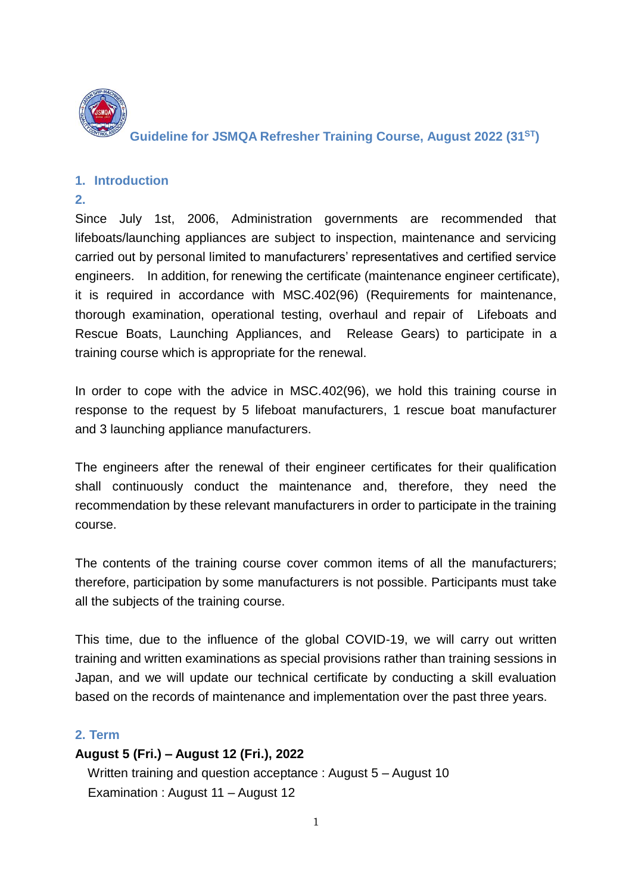

**Guideline for JSMQA Refresher Training Course, August 2022 (31ST)**

#### **1. Introduction**

#### **2.**

Since July 1st, 2006, Administration governments are recommended that lifeboats/launching appliances are subject to inspection, maintenance and servicing carried out by personal limited to manufacturers' representatives and certified service engineers. In addition, for renewing the certificate (maintenance engineer certificate), it is required in accordance with MSC.402(96) (Requirements for maintenance, thorough examination, operational testing, overhaul and repair of Lifeboats and Rescue Boats, Launching Appliances, and Release Gears) to participate in a training course which is appropriate for the renewal.

In order to cope with the advice in MSC.402(96), we hold this training course in response to the request by 5 lifeboat manufacturers, 1 rescue boat manufacturer and 3 launching appliance manufacturers.

The engineers after the renewal of their engineer certificates for their qualification shall continuously conduct the maintenance and, therefore, they need the recommendation by these relevant manufacturers in order to participate in the training course.

The contents of the training course cover common items of all the manufacturers; therefore, participation by some manufacturers is not possible. Participants must take all the subjects of the training course.

This time, due to the influence of the global COVID-19, we will carry out written training and written examinations as special provisions rather than training sessions in Japan, and we will update our technical certificate by conducting a skill evaluation based on the records of maintenance and implementation over the past three years.

#### **2. Term**

## **August 5 (Fri.) – August 12 (Fri.), 2022**

Written training and question acceptance : August 5 – August 10 Examination : August 11 – August 12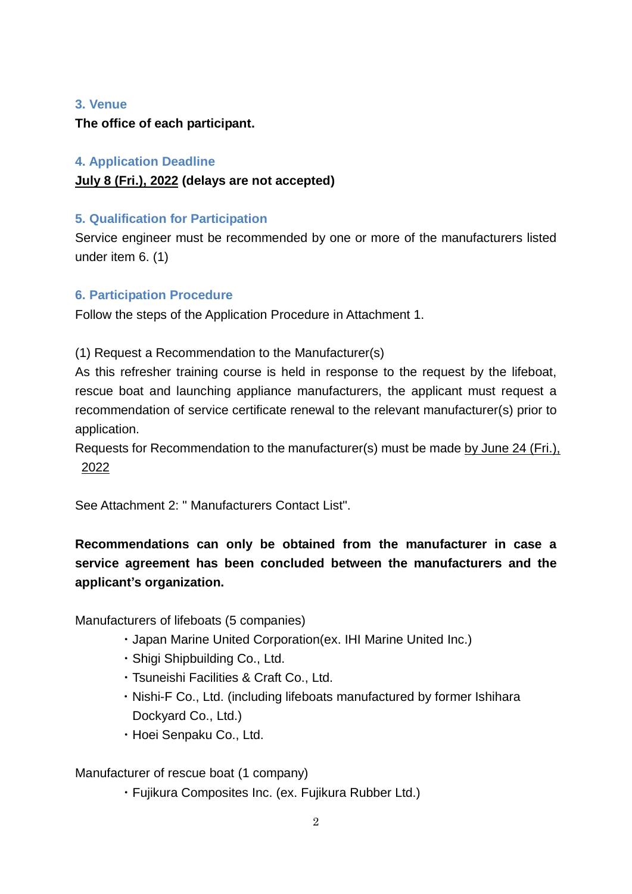#### **3. Venue**

**The office of each participant.**

## **4. Application Deadline**

## **July 8 (Fri.), 2022 (delays are not accepted)**

## **5. Qualification for Participation**

Service engineer must be recommended by one or more of the manufacturers listed under item 6. (1)

## **6. Participation Procedure**

Follow the steps of the Application Procedure in Attachment 1.

(1) Request a Recommendation to the Manufacturer(s)

As this refresher training course is held in response to the request by the lifeboat, rescue boat and launching appliance manufacturers, the applicant must request a recommendation of service certificate renewal to the relevant manufacturer(s) prior to application.

Requests for Recommendation to the manufacturer(s) must be made by June 24 (Fri.), 2022

See Attachment 2: " Manufacturers Contact List".

# **Recommendations can only be obtained from the manufacturer in case a service agreement has been concluded between the manufacturers and the applicant's organization.**

Manufacturers of lifeboats (5 companies)

- ・Japan Marine United Corporation(ex. IHI Marine United Inc.)
- ・Shigi Shipbuilding Co., Ltd.
- ・Tsuneishi Facilities & Craft Co., Ltd.
- ・Nishi-F Co., Ltd. (including lifeboats manufactured by former Ishihara Dockyard Co., Ltd.)
- ・Hoei Senpaku Co., Ltd.

Manufacturer of rescue boat (1 company)

・Fujikura Composites Inc. (ex. Fujikura Rubber Ltd.)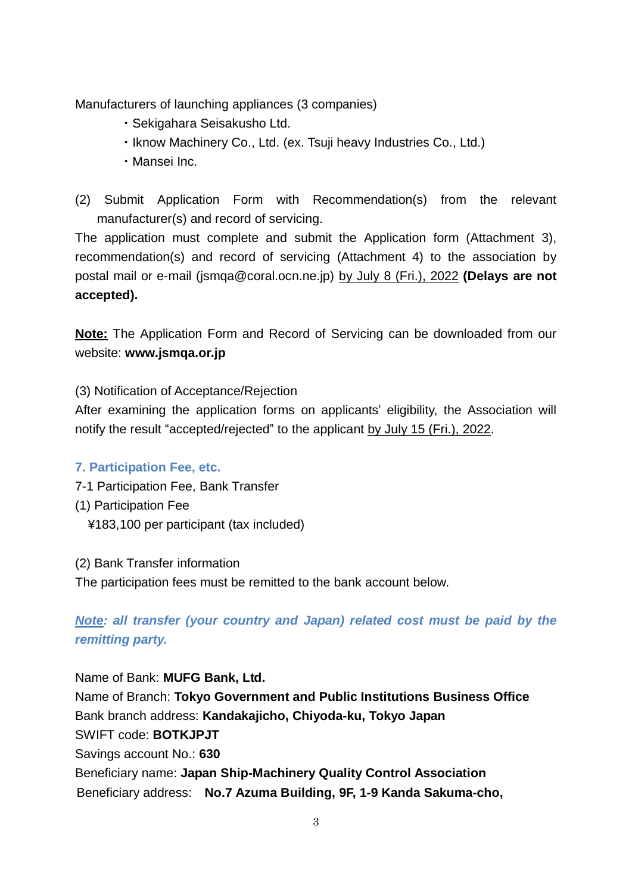Manufacturers of launching appliances (3 companies)

- ・Sekigahara Seisakusho Ltd.
- ・Iknow Machinery Co., Ltd. (ex. Tsuji heavy Industries Co., Ltd.)
- ・Mansei Inc.

(2) Submit Application Form with Recommendation(s) from the relevant manufacturer(s) and record of servicing.

The application must complete and submit the Application form (Attachment 3), recommendation(s) and record of servicing (Attachment 4) to the association by postal mail or e-mail (jsmqa@coral.ocn.ne.jp) by July 8 (Fri.), 2022 **(Delays are not accepted).**

**Note:** The Application Form and Record of Servicing can be downloaded from our website: **www.jsmqa.or.jp**

(3) Notification of Acceptance/Rejection

After examining the application forms on applicants' eligibility, the Association will notify the result "accepted/rejected" to the applicant by July 15 (Fri.), 2022.

## **7. Participation Fee, etc.**

- 7-1 Participation Fee, Bank Transfer
- (1) Participation Fee
	- ¥183,100 per participant (tax included)
- (2) Bank Transfer information

The participation fees must be remitted to the bank account below.

*Note: all transfer (your country and Japan) related cost must be paid by the remitting party.*

Name of Bank: **MUFG Bank, Ltd.** Name of Branch: **Tokyo Government and Public Institutions Business Office** Bank branch address: **Kandakajicho, Chiyoda-ku, Tokyo Japan** SWIFT code: **BOTKJPJT** Savings account No.: **630** Beneficiary name: **Japan Ship-Machinery Quality Control Association** Beneficiary address: **No.7 Azuma Building, 9F, 1-9 Kanda Sakuma-cho,**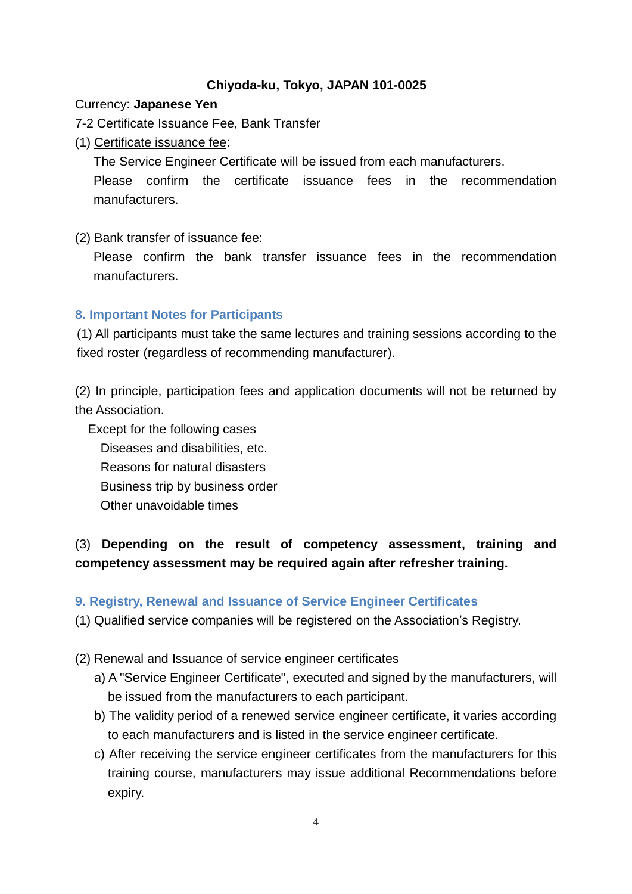#### **Chiyoda-ku, Tokyo, JAPAN 101-0025**

#### Currency: **Japanese Yen**

7-2 Certificate Issuance Fee, Bank Transfer

(1) Certificate issuance fee:

The Service Engineer Certificate will be issued from each manufacturers.

Please confirm the certificate issuance fees in the recommendation manufacturers.

#### (2) Bank transfer of issuance fee:

Please confirm the bank transfer issuance fees in the recommendation manufacturers.

#### **8. Important Notes for Participants**

(1) All participants must take the same lectures and training sessions according to the fixed roster (regardless of recommending manufacturer).

(2) In principle, participation fees and application documents will not be returned by the Association.

Except for the following cases Diseases and disabilities, etc. Reasons for natural disasters Business trip by business order Other unavoidable times

# (3) **Depending on the result of competency assessment, training and competency assessment may be required again after refresher training.**

#### **9. Registry, Renewal and Issuance of Service Engineer Certificates**

(1) Qualified service companies will be registered on the Association's Registry.

- (2) Renewal and Issuance of service engineer certificates
	- a) A "Service Engineer Certificate", executed and signed by the manufacturers, will be issued from the manufacturers to each participant.
	- b) The validity period of a renewed service engineer certificate, it varies according to each manufacturers and is listed in the service engineer certificate.
	- c) After receiving the service engineer certificates from the manufacturers for this training course, manufacturers may issue additional Recommendations before expiry.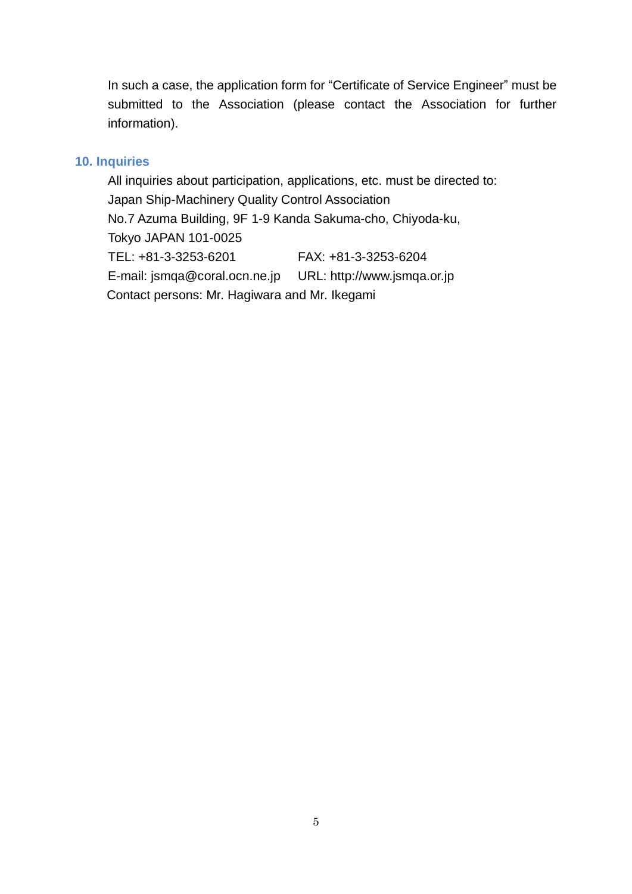In such a case, the application form for "Certificate of Service Engineer" must be submitted to the Association (please contact the Association for further information).

#### **10. Inquiries**

All inquiries about participation, applications, etc. must be directed to: Japan Ship-Machinery Quality Control Association No.7 Azuma Building, 9F 1-9 Kanda Sakuma-cho, Chiyoda-ku, Tokyo JAPAN 101-0025 TEL: +81-3-3253-6201 FAX: +81-3-3253-6204 E-mail: jsmqa@coral.ocn.ne.jp URL: http://www.jsmqa.or.jp Contact persons: Mr. Hagiwara and Mr. Ikegami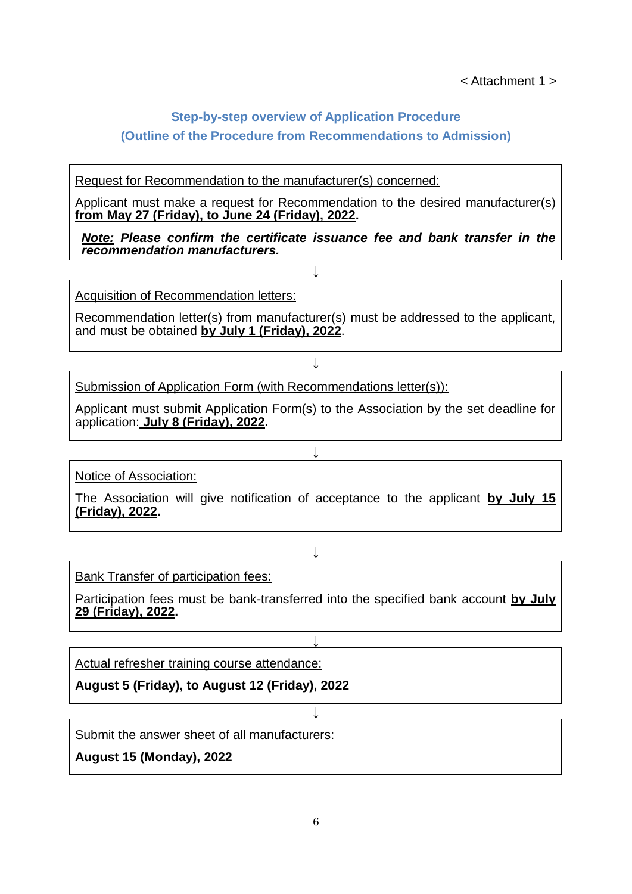## **Step-by-step overview of Application Procedure**

## **(Outline of the Procedure from Recommendations to Admission)**

#### Request for Recommendation to the manufacturer(s) concerned:

Applicant must make a request for Recommendation to the desired manufacturer(s) **from May 27 (Friday), to June 24 (Friday), 2022.**

*Note: Please confirm the certificate issuance fee and bank transfer in the recommendation manufacturers.*

↓

Acquisition of Recommendation letters:

Recommendation letter(s) from manufacturer(s) must be addressed to the applicant, and must be obtained **by July 1 (Friday), 2022**.

↓

Submission of Application Form (with Recommendations letter(s)):

Applicant must submit Application Form(s) to the Association by the set deadline for application: **July 8 (Friday), 2022.**

↓

Notice of Association:

The Association will give notification of acceptance to the applicant **by July 15 (Friday), 2022.**

↓

Bank Transfer of participation fees:

Participation fees must be bank-transferred into the specified bank account **by July 29 (Friday), 2022.**

↓

↓

Actual refresher training course attendance:

**August 5 (Friday), to August 12 (Friday), 2022**

Submit the answer sheet of all manufacturers:

**August 15 (Monday), 2022**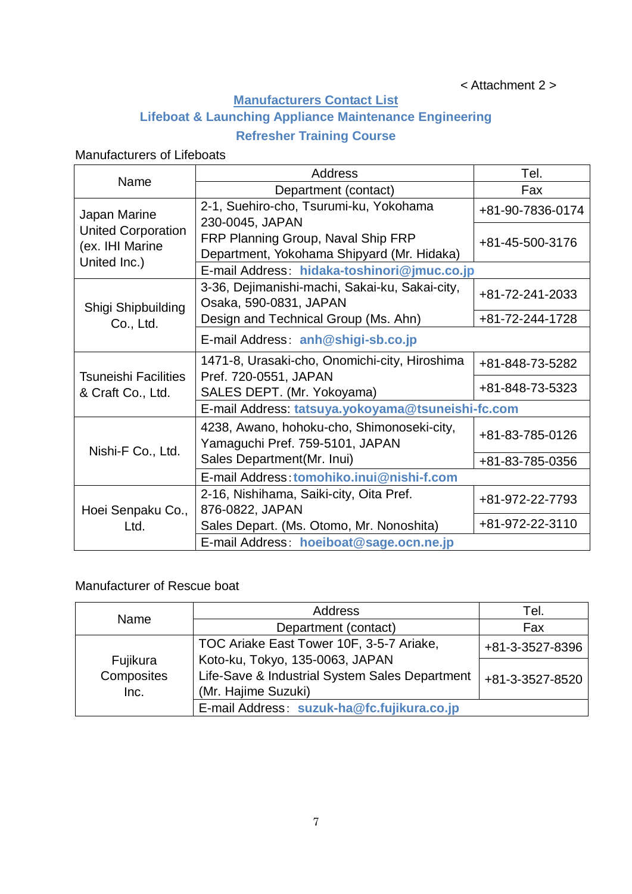# **Manufacturers Contact List**

# **Lifeboat & Launching Appliance Maintenance Engineering**

# **Refresher Training Course**

# Manufacturers of Lifeboats

|                                                              | <b>Address</b>                                                                   | Tel.                                        |  |  |  |  |
|--------------------------------------------------------------|----------------------------------------------------------------------------------|---------------------------------------------|--|--|--|--|
| Name                                                         | Department (contact)                                                             | Fax                                         |  |  |  |  |
| Japan Marine<br><b>United Corporation</b><br>(ex. IHI Marine | 2-1, Suehiro-cho, Tsurumi-ku, Yokohama<br>230-0045, JAPAN                        | +81-90-7836-0174                            |  |  |  |  |
|                                                              | FRP Planning Group, Naval Ship FRP<br>Department, Yokohama Shipyard (Mr. Hidaka) | +81-45-500-3176                             |  |  |  |  |
| United Inc.)                                                 |                                                                                  | E-mail Address: hidaka-toshinori@jmuc.co.jp |  |  |  |  |
| Shigi Shipbuilding                                           | 3-36, Dejimanishi-machi, Sakai-ku, Sakai-city,<br>Osaka, 590-0831, JAPAN         | +81-72-241-2033                             |  |  |  |  |
| Co., Ltd.                                                    | Design and Technical Group (Ms. Ahn)                                             | +81-72-244-1728                             |  |  |  |  |
|                                                              | E-mail Address: anh@shigi-sb.co.jp                                               |                                             |  |  |  |  |
|                                                              | 1471-8, Urasaki-cho, Onomichi-city, Hiroshima                                    | +81-848-73-5282                             |  |  |  |  |
| <b>Tsuneishi Facilities</b><br>& Craft Co., Ltd.             | Pref. 720-0551, JAPAN<br>SALES DEPT. (Mr. Yokoyama)                              | +81-848-73-5323                             |  |  |  |  |
|                                                              | E-mail Address: tatsuya.yokoyama@tsuneishi-fc.com                                |                                             |  |  |  |  |
| Nishi-F Co., Ltd.                                            | 4238, Awano, hohoku-cho, Shimonoseki-city,<br>Yamaguchi Pref. 759-5101, JAPAN    | +81-83-785-0126                             |  |  |  |  |
|                                                              | Sales Department (Mr. Inui)                                                      | +81-83-785-0356                             |  |  |  |  |
|                                                              | E-mail Address: tomohiko.inui@nishi-f.com                                        |                                             |  |  |  |  |
| Hoei Senpaku Co.,                                            | 2-16, Nishihama, Saiki-city, Oita Pref.<br>876-0822, JAPAN                       | +81-972-22-7793                             |  |  |  |  |
| Ltd.                                                         | Sales Depart. (Ms. Otomo, Mr. Nonoshita)                                         | +81-972-22-3110                             |  |  |  |  |
|                                                              | E-mail Address: hoeiboat@sage.ocn.ne.jp                                          |                                             |  |  |  |  |

# Manufacturer of Rescue boat

| Name       | Address                                        | Tel.            |  |  |
|------------|------------------------------------------------|-----------------|--|--|
|            | Department (contact)                           | Fax             |  |  |
|            | TOC Ariake East Tower 10F, 3-5-7 Ariake,       | +81-3-3527-8396 |  |  |
| Fujikura   | Koto-ku, Tokyo, 135-0063, JAPAN                |                 |  |  |
| Composites | Life-Save & Industrial System Sales Department | +81-3-3527-8520 |  |  |
| Inc.       | (Mr. Hajime Suzuki)                            |                 |  |  |
|            | E-mail Address: suzuk-ha@fc.fujikura.co.jp     |                 |  |  |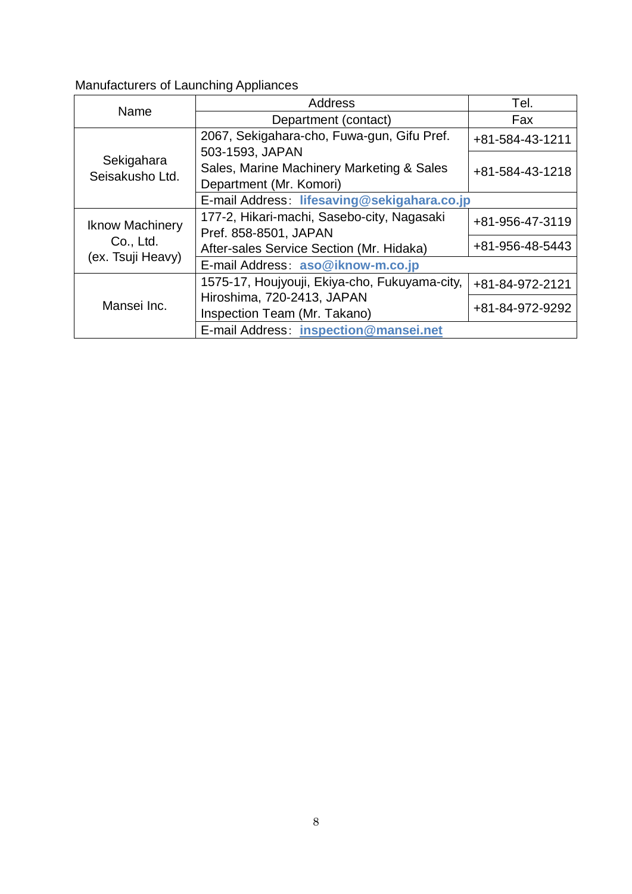# Manufacturers of Launching Appliances

| Name                          | Address                                                                                 | Tel.            |  |  |  |
|-------------------------------|-----------------------------------------------------------------------------------------|-----------------|--|--|--|
|                               | Department (contact)                                                                    | Fax             |  |  |  |
|                               | 2067, Sekigahara-cho, Fuwa-gun, Gifu Pref.                                              | +81-584-43-1211 |  |  |  |
| Sekigahara<br>Seisakusho Ltd. | 503-1593, JAPAN<br>Sales, Marine Machinery Marketing & Sales<br>Department (Mr. Komori) | +81-584-43-1218 |  |  |  |
|                               | E-mail Address: lifesaving@sekigahara.co.jp                                             |                 |  |  |  |
| <b>Iknow Machinery</b>        | 177-2, Hikari-machi, Sasebo-city, Nagasaki<br>Pref. 858-8501, JAPAN                     | +81-956-47-3119 |  |  |  |
| Co., Ltd.                     | After-sales Service Section (Mr. Hidaka)                                                | +81-956-48-5443 |  |  |  |
| (ex. Tsuji Heavy)             | E-mail Address: aso@iknow-m.co.jp                                                       |                 |  |  |  |
|                               | 1575-17, Houjyouji, Ekiya-cho, Fukuyama-city,                                           | +81-84-972-2121 |  |  |  |
| Mansei Inc.                   | Hiroshima, 720-2413, JAPAN<br>Inspection Team (Mr. Takano)                              | +81-84-972-9292 |  |  |  |
|                               | E-mail Address: inspection@mansei.net                                                   |                 |  |  |  |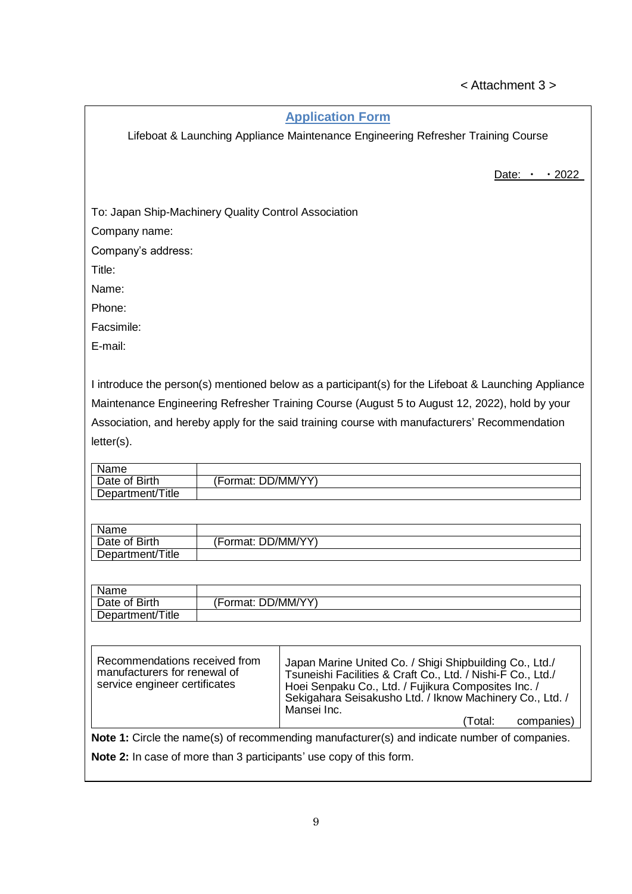# < Attachment 3 >

#### **Application Form**

Lifeboat & Launching Appliance Maintenance Engineering Refresher Training Course

Date:  $\cdot$   $\cdot$  2022

To: Japan Ship-Machinery Quality Control Association

Company name:

Company's address:

Title:

Name:

Phone:

Facsimile:

E-mail:

I introduce the person(s) mentioned below as a participant(s) for the Lifeboat & Launching Appliance Maintenance Engineering Refresher Training Course (August 5 to August 12, 2022), hold by your Association, and hereby apply for the said training course with manufacturers' Recommendation letter(s).

| Name             |                         |
|------------------|-------------------------|
| Date of Birth    | DD/MM/YY)<br>√Format: ∖ |
| Department/Title |                         |

| Name             |                    |
|------------------|--------------------|
| Date of Birth    | (Format: DD/MM/YY) |
| Department/Title |                    |

| Name             |                        |  |
|------------------|------------------------|--|
| Date of Birth    | . DD/MM/YY'<br>Format: |  |
| Department/Title |                        |  |

| Recommendations received from<br>manufacturers for renewal of<br>service engineer certificates | Japan Marine United Co. / Shigi Shipbuilding Co., Ltd./<br>Tsuneishi Facilities & Craft Co., Ltd. / Nishi-F Co., Ltd./<br>Hoei Senpaku Co., Ltd. / Fujikura Composites Inc. /<br>Sekigahara Seisakusho Ltd. / Iknow Machinery Co., Ltd. /<br>Mansei Inc. |  |  |  |  |
|------------------------------------------------------------------------------------------------|----------------------------------------------------------------------------------------------------------------------------------------------------------------------------------------------------------------------------------------------------------|--|--|--|--|
|                                                                                                | companies)<br>(Total:                                                                                                                                                                                                                                    |  |  |  |  |
| Note 1: Circle the name(s) of recommending manufacturer(s) and indicate number of companies.   |                                                                                                                                                                                                                                                          |  |  |  |  |

**Note 2:** In case of more than 3 participants' use copy of this form.